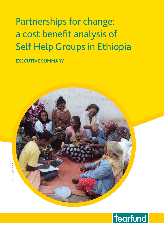# Partnerships for change: a cost benefit analysis of Self Help Groups in Ethiopia

**Executive summary**



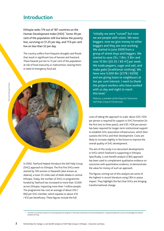### **Introduction**

Ethiopia ranks 174 out of 187 countries on the Human Development Index (HDI).<sup>1</sup> Some 39 per cent of the population still live below the poverty line, surviving on \$1.25 per day, and 77.6 per cent live on less than \$2 per day.

The country suffers from frequent droughts and floods that result in significant loss of harvest and livestock. These hazards put ten to 15 per cent of the population at risk of food insecurity or malnutrition, leaving them in need of emergency food aid.

In 2002, Tearfund helped introduce the Self Help Group (SHG) approach to Ethiopia. The first five SHGs were started by 100 women in Nazareth (also known as Adama), a town 55 miles east of Addis Ababa in central Ethiopia. Today, the number of SHGs in programmes funded by Tearfund has increased to more than 12,000 across Ethiopia, impacting more than 1 million people. The programme has cost an average of about £50 / €60 per SHG member, which equates to about £10 / €12 per beneficiary. These figures include the full

'Initially we were "cursed" but now we are people with vision. We were beggars: now we give money to other beggars and they are now working. We started in June 2009 from a group of street boys and beggars. We started to save 25c, 1 Birr, 5 Birr and now 10 Birr [£0.35 / €0.41] per week. We trade peppers, sugar and salt, and make *gabis* [traditional clothing]. We have now 5,000 Birr [£178 / €209] and are giving loans to neighbours at ten per cent interest. I want to thank the project workers who have worked with us day and night to reach this level.'

*Mekuria, a member of the Hope for Tomorrow Self Help Group in Fincha town*

costs of taking the approach to scale: about £20 /  $€24$ per person is required for support in SHG formation (in the first two to three years), and £30 / €36 per person has been required for longer-term institutional support to establish SHG association infrastructure, which then sustains the SHGs and their development. Costs are likely to increase slightly in the future to improve the overall quality of SHG development.

The aim of this study is to document developments in SHGs which Tearfund is supporting in Ethiopia. Specifically, a cost benefit analysis (CBA) approach has been used to complement qualitative evidence on outcomes with quantitative evidence, to demonstrate the value for money of such an approach.

The figures coming out of this analysis are some of the highest in recent literature using CBA to assess impact. They highlight the fact that SHGs are bringing transformational change.

1 The HDI is a summary measure for assessing long-term progress in three basic dimensions of human development: a long and healthy life, access to knowledge and a decent standard of living.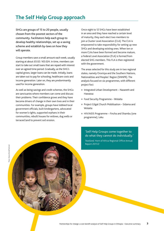### **The Self Help Group approach**

SHGs are groups of 15 to 20 people, usually chosen from the poorest sectors of the community. Facilitators help each group to develop healthy relationships, set up a saving scheme and establish by-laws on how they will operate.

Group members save a small amount each week, usually starting at about £0.02 / €0.024. In time, members can start to take out small loans that are repaid with interest over an agreed time period. Gradually, as the SHG's capital grows, larger loans can be made. Initially, loans are taken out to pay for schooling, healthcare costs and income generation. Later on, they are predominantly used for income generation.

As well as being savings and credit schemes, the SHGs are sanctuaries where members can come and discuss their problems. Their confidence grows and they have become drivers of change in their own lives and in their communities. For example, groups have lobbied local government officials, built kindergartens, advocated for women's rights, supported orphans in their communities, rebuilt houses for widows, dug wells or terraced land to prevent soil erosion.

Once eight to 12 SHGs have been established in an area and they have reached a certain level of maturity, they each elect two members to join a Cluster Level Association (CLA). The CLA is empowered to take responsibility for setting up new SHGs and developing existing ones. When ten or more CLAs have been formed and become mature, a Federal Level Association (FLA) is formed from elected SHG members. This FLA is then registered with the government.

The areas selected for this study are in two regional states, namely Oromiya and the Southern Nations, Nationalities and Peoples' Region (SNNPR). The analysis focused on six programmes, with different project foci:

- Integrated Urban Development Nazareth and Hawassa
- Food Security Programme Wolaita
- $\blacksquare$  Project Gilgal Church Mobilisation Sidama and Wolaita
- $HIV/AIDS$  Programme Fincha and Shambu (one programme), Leku

### 'Self Help Groups come together to do what they cannot do individually.'

*Tearfund,* Horn of Africa Regional Office Annual Report 2011/2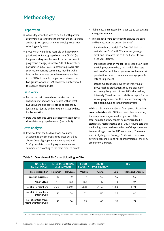### **Methodology**

#### **Preparation**

- $\blacksquare$  A two-day workshop was carried out with partner agency staff to familiarise them with the cost benefit analysis (CBA) approach and to develop criteria for selecting study areas.
- SHGs which were three years old and above were prioritised for focus group discussions (FGDs) (as longer-standing members could better document progressive change). A total of 544 SHG members participated in 65 FGDs. Control groups were also selected, comprising community members who lived in the same area but who were not involved in the SHGs, to enable comparisons between the two groups. A total of 324 people were interviewed through 34 control FGDs.

#### **Field work**

- $\blacksquare$  Before the main research was carried out, the analytical method was field-tested with at least two SHGs and one control group at each study location, to identify and resolve any issues with its implementation.
- $\blacksquare$  Data was gathered using participatory approaches through focus group discussion (see table 1).

#### **Data analysis**

 $\blacksquare$  Evidence from the field work was evaluated according to the six programme areas described above. Control group data was compared with SHG group data for each programme area, and summarised according to the main areas of benefit.

- $\blacksquare$  All benefits are measured on a per capita basis, using a weighted average.
- $\blacksquare$  Three models were developed to analyse the costs and benefits over the project lifetime:<sup>2</sup>
	- Individual case model: The first CBA looks at an individual SHG with 17 members (average size), and estimates the costs and benefits over a 20-year lifetime.
	- Market penetration model: The second CBA takes the full programme data, and models the costs and benefits until the programme reaches market penetration, based on an annual average growth rate of 20 per cent.
	- Donor-funded model: Once the first group of SHGs reaches 'graduation', they are capable of sustaining the growth of new SHGs themselves, internally. Therefore, the model is run again for the whole programme, but this time accounting only for external funding in the first ten years.

While a substantial number of focus group discussions were undertaken with SHG and control communities, these represent only a small proportion of the total number. So they cannot be considered to be statistically representative of all SHGs. Having said this, the findings do echo the experience of the programme team working across the SHG community. The research specifically targeted 'average' SHGs, with the aim of getting a reasonable and fair approximation of the SHG programme's impact.

| <b>NATURE OF</b><br><b>PROJECT FOCUS</b>    | <b>INTEGRATED URBAN</b><br><b>DEVELOPMENT</b> |         | <b>FOOD</b><br><b>SECURITY</b> | <b>CHURCH</b><br><b>MOBILISATION</b> | <b>HIV</b> |                          |
|---------------------------------------------|-----------------------------------------------|---------|--------------------------------|--------------------------------------|------------|--------------------------|
| Project identifier                          | <b>Nazareth</b>                               | Hawassa | Wolaita                        | <b>Gilgal</b>                        | Leku       | <b>Fincha and Shambu</b> |
| <b>Years of existence</b>                   | 10                                            | 9       | 7                              | 4.5                                  | 4.5        | 4.5                      |
| No. of SHGs                                 | 411                                           | 192     | 163                            | 145                                  | 78         | 107                      |
| No. of SHG members                          | 6.620                                         | 3,040   | 2,388                          | 2,465                                | 1,560      | 1.721                    |
| No. of SHG members<br>interviewed           | 80                                            | 58      | 72                             | 116                                  | 136        | 82                       |
| No. of control group<br>members interviewed | 40                                            | 30      | 75                             | 46                                   | 59         | 74                       |

#### **Table 1: Overview of SHGs participating in CBA**

2 Net benefits are discounted at 10%. Discounting is used to reflect the time value of money – in other words, a dollar today is valued more highly than a dollar in the future.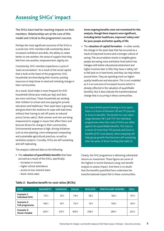### **Assessing SHGs' impact**

The SHGs have had far-reaching impacts on their members. Relationships are at the core of this model and critical to the programme's success.

Perhaps the most significant outcome of the SHGs is a social one: SHG members talk consistently about increased confidence and skills, the ability to relate better to one another, the sense of support that they feel from one another, empowerment, dignity etc.

Consistently, SHG members experience a cycle of 'asset accumulation'. As a result of the social capital that is built at the heart of the programme, SHG households are diversifying their income, pooling resources to help those in need and initiating change in their communities.

As a result, food intake is more frequent for SHG households (three plus meals per day) and diets are more nutritious. These households are sending their children to school and now paying for private education and healthcare. Their asset base is growing and gives them the resilience to cope with bad times without their having to sell off assets at reduced prices ('stress sales'). Both women and men are being empowered to engage in issues that affect them and become drivers for change in their communities. Environmental awareness is high, driving initiatives such as tree-planting, more widespread composting and sustainable agricultural practices, as well as sanitation projects. Crucially, SHGs are self-sustaining and self-replicating.

The analysis collected data on the following:

- The **valuation of quantifiable benefits** that have accrued as a result of the SHGs, specifically:
	- increases in income
	- higher school attendance
	- access to low-interest loans
	- fewer stress sales.

**Some ongoing benefits were not monetized for this analysis, though there impacts were significant, including better healthcare, improved 'safety nets' for poor people and better quality of life**.

■ The **valuation of capital formation** – in other words, the change in the asset base that has occurred as a result of improved income and a stronger culture of saving. This accumulation results in tangible gains: people are eating more and better food (which has linkages with better educational attainment and higher incomes later in life); they have a 'safety net' to fall back on in hard times; and they can help others around them. They are spending more on higherquality healthcare and education. This is not modelled as it is an outcome of increased income (which is already reflected in the valuation of quantifiable benefits). But it does indicate the transformational change that is occurring in these communities.

For every British pound sterling or Euro spent, there is a return of between 58 and 173 pounds or Euros in benefits. The benefit-to-cost ratios range between 58:1 and 173:1 for individual programmes when the costs of SHGs are offset against the quantifiable benefits. This rises to a return of more than 210 pounds and Euros in benefits (210:1 and above), when analysing self help group growth that becomes self-sustaining after ten years of donor funding (See table 2).

Clearly, the SHG programme is delivering substantial returns on investment. These figures are some of the highest in recent literature using cost benefit analysis to assess impact. And there is no doubt that the benefits quantified here understate the transformational impact felt in these communities.

| <b>BCRS</b>                          | <b>NAZARETH</b> | <b>HAWASSA</b> | <b>GILGAL</b> | <b>WOLAITA</b> | <b>FINCHA AND SHAMBU</b> | <b>LEKU</b> |
|--------------------------------------|-----------------|----------------|---------------|----------------|--------------------------|-------------|
| Scenario 1:<br><b>Individual SHG</b> | 115:1           | 76:1           | 116:1         | 58:1           | 165:1                    | 173:1       |
| Scenario 2:<br><b>Full programme</b> | 140:1           | 97:1           | 112:1         | 70:1           | 130:1                    | 124:1       |
| Scenario 3:<br>Donor-funded          | 320:1           | 210:1          | 400:1         | 238:1          | 285:1                    | 222:1       |

#### **Table 2: Baseline benefit-to-cost ratios (BCRs)**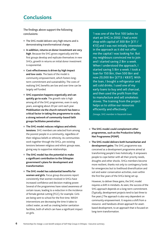### **Conclusions**

The findings above support the following conclusions:

- The SHG model delivers very high returns and is demonstrating transformational change.
- In addition, returns on donor investment are very **high**. Because the SHG grows organically and the first groups develop and replicate themselves in new SHGs, growth in returns on initial donor investment is exponential.
- Cost-effectiveness is driven by high impact **and low costs**. The basis of the model is community empowerment, which fosters longterm commitment and sustainability. The costs of realising SHG benefits are low and over time can be largely self funded.
- SHG expansion happens organically and can **quickly go to scale**. The growth rate is high among all of the SHG programmes, even in early years, averaging about 20 per cent each year. **Mobilisation via the church network has been a critical factor in taking the programme to scale; a strong network of community-based faith groups facilitates penetration**.
- The SHG model reduces religious and ethnic **tensions**. SHG members are selected from among the poorest people in a community, regardless of their religious beliefs or ethnicity. As communities work together through the SHGs, pre-existing tensions between religious and ethnic groups ease, giving way to supportive relationships.
- The SHG model has the potential to make **a significant contribution to the Ethiopian government's plans for development and transformation**.
- The SHG model has substantial benefits for **women and girls**. Focus group discussions report consistently that women involved in SHGs have increased confidence and decision-making power. Several of the programmes have raised awareness of certain issues, leading to a reduction in the incidence of female genital cutting (FGC), for example. Girls are being sent to school for the first time. WASH interventions are decreasing the time it takes to collect water, as well as creating better sanitation facilities, both of which can have a significant impact on girls.

'I was one of the first 100 ladies to start an SHG in 2002. I had a mini shop with capital of 300 Birr [£11 / €13] and I was not initially interested in the approach as it did not offer me the capital I was looking for. But my neighbours convinced me to join and I started saving 2 Birr a week. When I understood the approach, I started saving 5 Birr a week. I took a loan for 150 Birr, then 500 Birr and now 20,000 Birr [£713 / €837]. With the loan, I bought a refrigerator and sell cold drinks. I used one of my early loans to buy and sell charcoal, and then used the profit from that to manufacture and sell smokeless stoves. The training from the project helps us to utilise our resources efficiently and effectively.'

*Zenaga, SHG member in Nazareth town*

- The SHG model could complement other **programmes, such as the Productive Safety Net Programme (PSNP)**.
- The SHG model delivers both humanitarian and **development gains**. The SHG programme was conceived as a development programme aimed at transforming people's lives holistically. It empowers people to cope better with all their priority needs, droughts and other shocks. SHGs members become more resilient, thanks not only to contingency funds for emergencies but to livelihood diversification and soil and water conservation activities, even within the first few years of the SHGs being set up.

However, to deliver these gains, the SHG model requires a shift in mindsets. As seen, the success of the SHG approach depends on a long-term commitment. (Typically, development projects tend to last three to five years.) The approach is also very dependent on community empowerment. It requires a shift from a resource- and handouts-driven approach for assetbased development, to an approach that is focused on long-term transformation.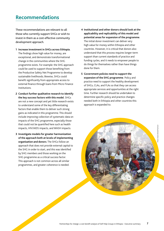### **Recommendations**

These recommendations are relevant to all those who currently support SHGs or wish to invest in them as a cost-effective community development approach.

- **1 Increase investment in SHGs across Ethiopia.**  The findings show high value for money, are exceptional, and demonstrate transformational change in the communities where the SHG programme exists. For example: the SHG approach could be used to support those benefiting from the Productive Safety Net Programme to develop sustainable livelihoods; likewise, SHGs could benefit significantly from appropriate access to external finance through loans from Micro Finance Institutions.
- **2 Conduct further qualitative research to identify the key success factors with this model**. SHGs are not a new concept and yet little research exists to understand some of the key differentiating factors that enable them to deliver such strong gains as indicated in this programme. This should include improving collection of systematic data on impacts of the SHG programme, especially those that could not be quantified here such as health impacts, HIV/AIDS impacts, and WASH impacts.
- **3 Investigate models for greater harmonization of the approach both at levels of implementing organisation and donors**. The SHGs follow an approach that does not provide external capital to the SHG in order to start, and this was identified by SHG members and those working on the SHG programme as a critical success factor. This approach is not common across all similar programmes, and greater coherence is needed.
- **4 Institutional and other donors should look at the applicability and replicability of this model and potential areas for expansion of the programme**. The initial donor investment can deliver very high value for money within Ethiopia and other countries. However, it is critical that donors also understand that this process requires longer-term support than current standards of practice and funding cycles, and it needs to empower people to do things for themselves rather than have things done for them.
- **5 Government policies need to support the expansion of the SHG programme**. Policy and practice need to support the healthy development of SHGs, CLAs, and FLAs so that they can access appropriate services and opportunities at the right time. Further research should be undertaken to determine specific policy and practice changes needed both in Ethiopia and other countries this approach is expanded to.